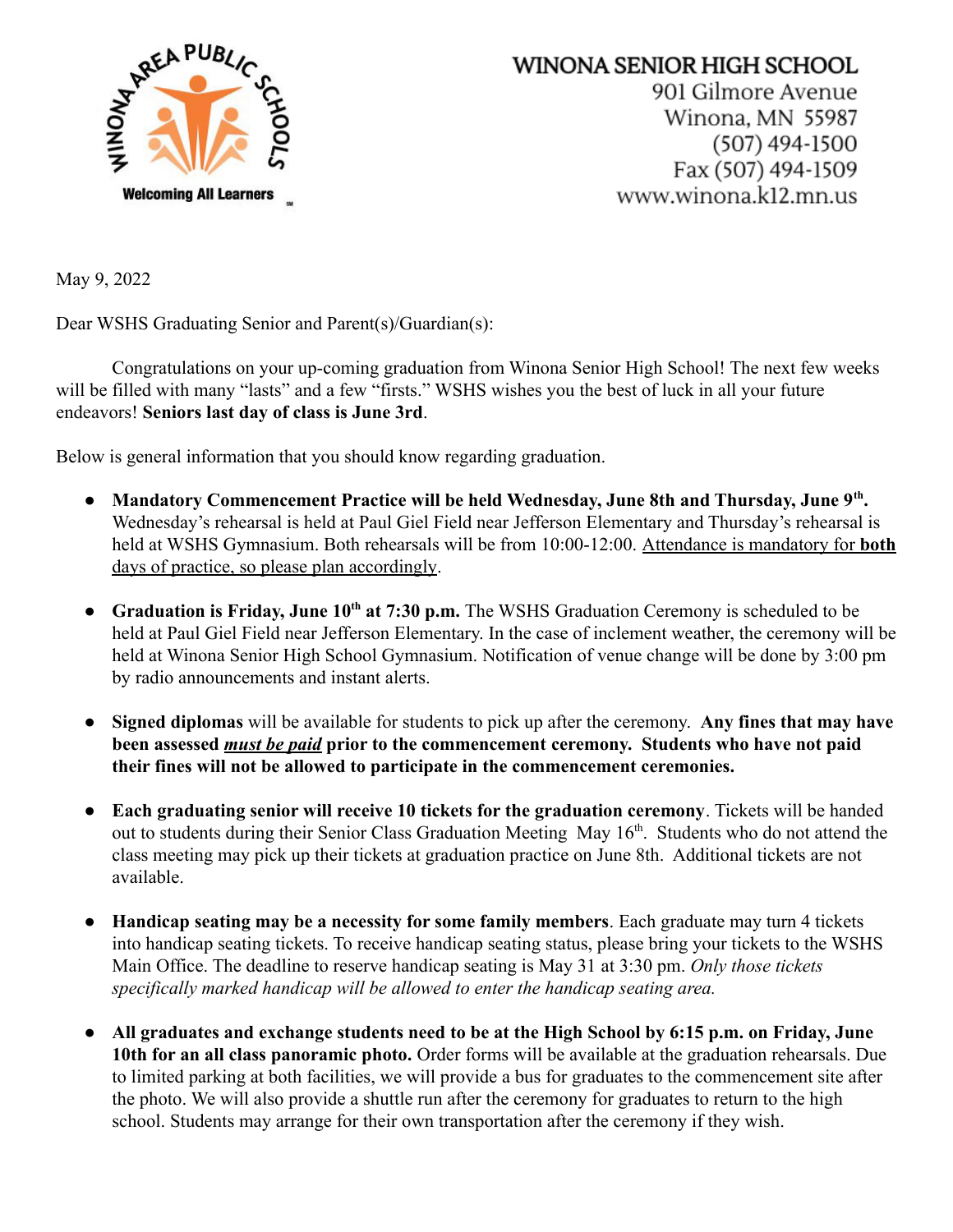

## WINONA SENIOR HIGH SCHOOL 901 Gilmore Avenue Winona, MN 55987  $(507)$  494-1500 Fax (507) 494-1509 www.winona.k12.mn.us

May 9, 2022

Dear WSHS Graduating Senior and Parent(s)/Guardian(s):

Congratulations on your up-coming graduation from Winona Senior High School! The next few weeks will be filled with many "lasts" and a few "firsts." WSHS wishes you the best of luck in all your future endeavors! **Seniors last day of class is June 3rd**.

Below is general information that you should know regarding graduation.

- **Mandatory Commencement Practice will be held Wednesday, June 8th and Thursday, June 9th .** Wednesday's rehearsal is held at Paul Giel Field near Jefferson Elementary and Thursday's rehearsal is held at WSHS Gymnasium. Both rehearsals will be from 10:00-12:00. Attendance is mandatory for **both** days of practice, so please plan accordingly.
- **Graduation is Friday, June 10th at 7:30 p.m.** The WSHS Graduation Ceremony is scheduled to be held at Paul Giel Field near Jefferson Elementary. In the case of inclement weather, the ceremony will be held at Winona Senior High School Gymnasium. Notification of venue change will be done by 3:00 pm by radio announcements and instant alerts.
- **Signed diplomas** will be available for students to pick up after the ceremony. **Any fines that may have been assessed** *must be paid* **prior to the commencement ceremony. Students who have not paid their fines will not be allowed to participate in the commencement ceremonies.**
- **Each graduating senior will receive 10 tickets for the graduation ceremony**. Tickets will be handed out to students during their Senior Class Graduation Meeting May 16<sup>th</sup>. Students who do not attend the class meeting may pick up their tickets at graduation practice on June 8th. Additional tickets are not available.
- **Handicap seating may be a necessity for some family members**. Each graduate may turn 4 tickets into handicap seating tickets. To receive handicap seating status, please bring your tickets to the WSHS Main Office. The deadline to reserve handicap seating is May 31 at 3:30 pm. *Only those tickets specifically marked handicap will be allowed to enter the handicap seating area.*
- **All graduates and exchange students need to be at the High School by 6:15 p.m. on Friday, June 10th for an all class panoramic photo.** Order forms will be available at the graduation rehearsals. Due to limited parking at both facilities, we will provide a bus for graduates to the commencement site after the photo. We will also provide a shuttle run after the ceremony for graduates to return to the high school. Students may arrange for their own transportation after the ceremony if they wish.